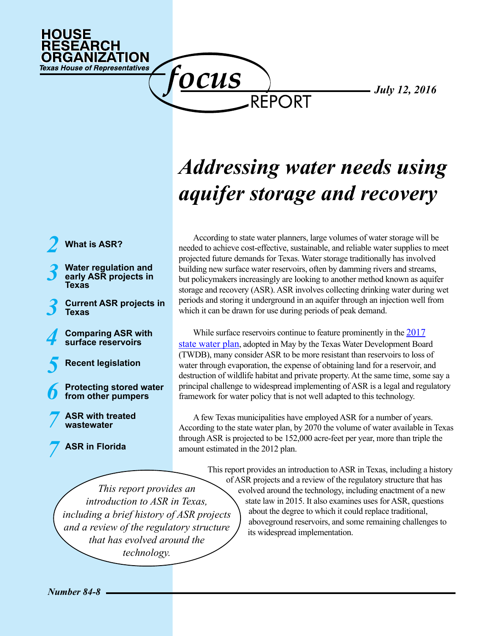

f<u>ocus</u>

*July 12, 2016*

# *Addressing water needs using aquifer storage and recovery*

REPORT

*2* **[What is ASR?](#page-1-0)**

- *3* **[Water regulation and](#page-2-0)  [early ASR projects in](#page-2-0)  [Texas](#page-2-0)**
- **[Current ASR projects in](#page-2-1)** *3* **[Texas](#page-2-1)**
- *4* **[Comparing ASR with](#page-3-0)  [surface reservoirs](#page-3-0)**
- *5* **[Recent legislation](#page-4-0)**
- *6* **[Protecting stored water](#page-5-0)  [from other pumpers](#page-5-0)**
- *7* **[ASR with treated](#page-6-1)  [wastewater](#page-6-1)**
- **[ASR in Florida](#page-6-0)**  *7*

According to state water planners, large volumes of water storage will be needed to achieve cost-effective, sustainable, and reliable water supplies to meet projected future demands for Texas. Water storage traditionally has involved building new surface water reservoirs, often by damming rivers and streams, but policymakers increasingly are looking to another method known as aquifer storage and recovery (ASR). ASR involves collecting drinking water during wet periods and storing it underground in an aquifer through an injection well from which it can be drawn for use during periods of peak demand.

While surface reservoirs continue to feature prominently in the [2017](http://www.twdb.texas.gov/waterplanning/swp/2017/index.asp) [state water plan,](http://www.twdb.texas.gov/waterplanning/swp/2017/index.asp) adopted in May by the Texas Water Development Board (TWDB), many consider ASR to be more resistant than reservoirs to loss of water through evaporation, the expense of obtaining land for a reservoir, and destruction of wildlife habitat and private property. At the same time, some say a principal challenge to widespread implementing of ASR is a legal and regulatory framework for water policy that is not well adapted to this technology.

A few Texas municipalities have employed ASR for a number of years. According to the state water plan, by 2070 the volume of water available in Texas through ASR is projected to be 152,000 acre-feet per year, more than triple the amount estimated in the 2012 plan.

*This report provides an introduction to ASR in Texas, including a brief history of ASR projects and a review of the regulatory structure that has evolved around the technology.*

This report provides an introduction to ASR in Texas, including a history of ASR projects and a review of the regulatory structure that has evolved around the technology, including enactment of a new state law in 2015. It also examines uses for ASR, questions about the degree to which it could replace traditional, aboveground reservoirs, and some remaining challenges to its widespread implementation.

*Number 84-8*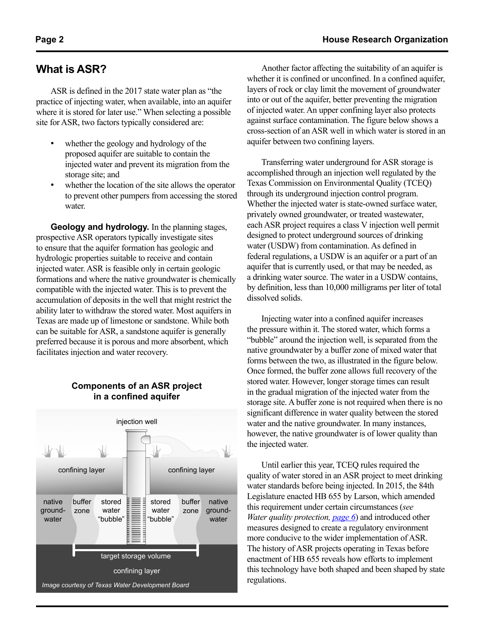# <span id="page-1-0"></span>**What is ASR?**

ASR is defined in the 2017 state water plan as "the practice of injecting water, when available, into an aquifer where it is stored for later use." When selecting a possible site for ASR, two factors typically considered are:

- whether the geology and hydrology of the proposed aquifer are suitable to contain the injected water and prevent its migration from the storage site; and
- whether the location of the site allows the operator to prevent other pumpers from accessing the stored water

**Geology and hydrology.** In the planning stages, prospective ASR operators typically investigate sites to ensure that the aquifer formation has geologic and hydrologic properties suitable to receive and contain injected water. ASR is feasible only in certain geologic formations and where the native groundwater is chemically compatible with the injected water. This is to prevent the accumulation of deposits in the well that might restrict the ability later to withdraw the stored water. Most aquifers in Texas are made up of limestone or sandstone. While both can be suitable for ASR, a sandstone aquifer is generally preferred because it is porous and more absorbent, which facilitates injection and water recovery.

#### <span id="page-1-1"></span>**Components of an ASR project in a confined aquifer**



Another factor affecting the suitability of an aquifer is whether it is confined or unconfined. In a confined aquifer, layers of rock or clay limit the movement of groundwater into or out of the aquifer, better preventing the migration of injected water. An upper confining layer also protects against surface contamination. The figure below shows a cross-section of an ASR well in which water is stored in an aquifer between two confining layers.

Transferring water underground for ASR storage is accomplished through an injection well regulated by the Texas Commission on Environmental Quality (TCEQ) through its underground injection control program. Whether the injected water is state-owned surface water, privately owned groundwater, or treated wastewater, each ASR project requires a class V injection well permit designed to protect underground sources of drinking water (USDW) from contamination. As defined in federal regulations, a USDW is an aquifer or a part of an aquifer that is currently used, or that may be needed, as a drinking water source. The water in a USDW contains, by definition, less than 10,000 milligrams per liter of total dissolved solids.

Injecting water into a confined aquifer increases the pressure within it. The stored water, which forms a "bubble" around the injection well, is separated from the native groundwater by a buffer zone of mixed water that forms between the two, as illustrated in the figure below. Once formed, the buffer zone allows full recovery of the stored water. However, longer storage times can result in the gradual migration of the injected water from the storage site. A buffer zone is not required when there is no significant difference in water quality between the stored water and the native groundwater. In many instances, however, the native groundwater is of lower quality than the injected water.

Until earlier this year, TCEQ rules required the quality of water stored in an ASR project to meet drinking water standards before being injected. In 2015, the 84th Legislature enacted HB 655 by Larson, which amended this requirement under certain circumstances (*see Water quality protection, [page 6](#page-5-1)*) and introduced other measures designed to create a regulatory environment more conducive to the wider implementation of ASR. The history of ASR projects operating in Texas before enactment of HB 655 reveals how efforts to implement this technology have both shaped and been shaped by state regulations.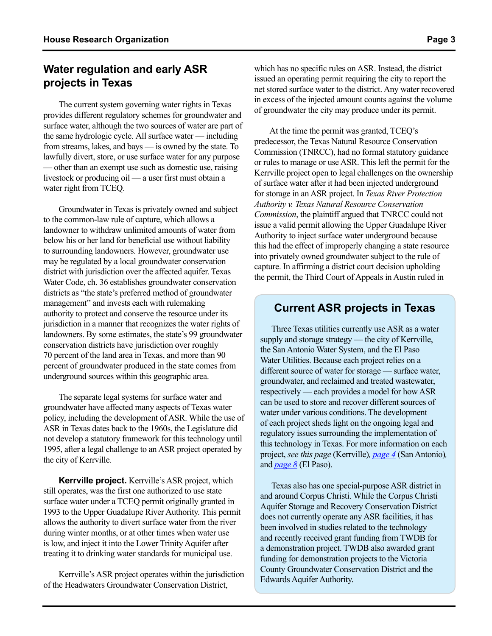## <span id="page-2-0"></span>**Water regulation and early ASR projects in Texas**

The current system governing water rights in Texas provides different regulatory schemes for groundwater and surface water, although the two sources of water are part of the same hydrologic cycle. All surface water — including from streams, lakes, and bays — is owned by the state. To lawfully divert, store, or use surface water for any purpose — other than an exempt use such as domestic use, raising livestock or producing oil — a user first must obtain a water right from TCEQ.

Groundwater in Texas is privately owned and subject to the common-law rule of capture, which allows a landowner to withdraw unlimited amounts of water from below his or her land for beneficial use without liability to surrounding landowners. However, groundwater use may be regulated by a local groundwater conservation district with jurisdiction over the affected aquifer. Texas Water Code, ch. 36 establishes groundwater conservation districts as "the state's preferred method of groundwater management" and invests each with rulemaking authority to protect and conserve the resource under its jurisdiction in a manner that recognizes the water rights of landowners. By some estimates, the state's 99 groundwater conservation districts have jurisdiction over roughly 70 percent of the land area in Texas, and more than 90 percent of groundwater produced in the state comes from underground sources within this geographic area.

The separate legal systems for surface water and groundwater have affected many aspects of Texas water policy, including the development of ASR. While the use of ASR in Texas dates back to the 1960s, the Legislature did not develop a statutory framework for this technology until 1995, after a legal challenge to an ASR project operated by the city of Kerrville*.*

**Kerrville project.** Kerrville's ASR project, which still operates, was the first one authorized to use state surface water under a TCEQ permit originally granted in 1993 to the Upper Guadalupe River Authority. This permit allows the authority to divert surface water from the river during winter months, or at other times when water use is low, and inject it into the Lower Trinity Aquifer after treating it to drinking water standards for municipal use.

Kerrville's ASR project operates within the jurisdiction of the Headwaters Groundwater Conservation District,

which has no specific rules on ASR. Instead, the district issued an operating permit requiring the city to report the net stored surface water to the district. Any water recovered in excess of the injected amount counts against the volume of groundwater the city may produce under its permit.

At the time the permit was granted, TCEQ's predecessor, the Texas Natural Resource Conservation Commission (TNRCC), had no formal statutory guidance or rules to manage or use ASR. This left the permit for the Kerrville project open to legal challenges on the ownership of surface water after it had been injected underground for storage in an ASR project. In *Texas River Protection Authority v. Texas Natural Resource Conservation Commission*, the plaintiff argued that TNRCC could not issue a valid permit allowing the Upper Guadalupe River Authority to inject surface water underground because this had the effect of improperly changing a state resource into privately owned groundwater subject to the rule of capture. In affirming a district court decision upholding the permit, the Third Court of Appeals in Austin ruled in

### <span id="page-2-1"></span>**Current ASR projects in Texas**

Three Texas utilities currently use ASR as a water supply and storage strategy — the city of Kerrville, the San Antonio Water System, and the El Paso Water Utilities. Because each project relies on a different source of water for storage — surface water, groundwater, and reclaimed and treated wastewater, respectively — each provides a model for how ASR can be used to store and recover different sources of water under various conditions. The development of each project sheds light on the ongoing legal and regulatory issues surrounding the implementation of this technology in Texas. For more information on each project, *see this page* (Kerrville)*, [page 4](#page-3-1)* (San Antonio)*,*  and *[page 8](#page-7-0)* (El Paso).

Texas also has one special-purpose ASR district in and around Corpus Christi. While the Corpus Christi Aquifer Storage and Recovery Conservation District does not currently operate any ASR facilities, it has been involved in studies related to the technology and recently received grant funding from TWDB for a demonstration project. TWDB also awarded grant funding for demonstration projects to the Victoria County Groundwater Conservation District and the Edwards Aquifer Authority.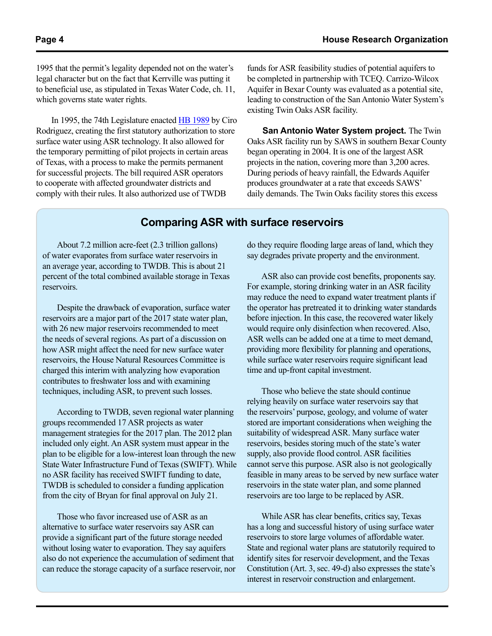1995 that the permit's legality depended not on the water's legal character but on the fact that Kerrville was putting it to beneficial use, as stipulated in Texas Water Code, ch. 11, which governs state water rights.

In 1995, the 74th Legislature enacted [HB 1989](http://www.capitol.state.tx.us/Search/DocViewer.aspx?ID=74RHB019895B&QueryText=%22hb+1989%22&DocType=B) by Ciro Rodriguez, creating the first statutory authorization to store surface water using ASR technology. It also allowed for the temporary permitting of pilot projects in certain areas of Texas, with a process to make the permits permanent for successful projects. The bill required ASR operators to cooperate with affected groundwater districts and comply with their rules. It also authorized use of TWDB

funds for ASR feasibility studies of potential aquifers to be completed in partnership with TCEQ. Carrizo-Wilcox Aquifer in Bexar County was evaluated as a potential site, leading to construction of the San Antonio Water System's existing Twin Oaks ASR facility.

<span id="page-3-1"></span>**San Antonio Water System project.** The Twin Oaks ASR facility run by SAWS in southern Bexar County began operating in 2004. It is one of the largest ASR projects in the nation, covering more than 3,200 acres. During periods of heavy rainfall, the Edwards Aquifer produces groundwater at a rate that exceeds SAWS' daily demands. The Twin Oaks facility stores this excess

### **Comparing ASR with surface reservoirs**

About 7.2 million acre-feet (2.3 trillion gallons) of water evaporates from surface water reservoirs in an average year, according to TWDB. This is about 21 percent of the total combined available storage in Texas reservoirs.

Despite the drawback of evaporation, surface water reservoirs are a major part of the 2017 state water plan, with 26 new major reservoirs recommended to meet the needs of several regions. As part of a discussion on how ASR might affect the need for new surface water reservoirs, the House Natural Resources Committee is charged this interim with analyzing how evaporation contributes to freshwater loss and with examining techniques, including ASR, to prevent such losses.

According to TWDB, seven regional water planning groups recommended 17 ASR projects as water management strategies for the 2017 plan. The 2012 plan included only eight. An ASR system must appear in the plan to be eligible for a low-interest loan through the new State Water Infrastructure Fund of Texas (SWIFT). While no ASR facility has received SWIFT funding to date, TWDB is scheduled to consider a funding application from the city of Bryan for final approval on July 21.

Those who favor increased use of ASR as an alternative to surface water reservoirs say ASR can provide a significant part of the future storage needed without losing water to evaporation. They say aquifers also do not experience the accumulation of sediment that can reduce the storage capacity of a surface reservoir, nor <span id="page-3-0"></span>do they require flooding large areas of land, which they say degrades private property and the environment.

ASR also can provide cost benefits, proponents say. For example, storing drinking water in an ASR facility may reduce the need to expand water treatment plants if the operator has pretreated it to drinking water standards before injection. In this case, the recovered water likely would require only disinfection when recovered. Also, ASR wells can be added one at a time to meet demand, providing more flexibility for planning and operations, while surface water reservoirs require significant lead time and up-front capital investment.

Those who believe the state should continue relying heavily on surface water reservoirs say that the reservoirs' purpose, geology, and volume of water stored are important considerations when weighing the suitability of widespread ASR. Many surface water reservoirs, besides storing much of the state's water supply, also provide flood control. ASR facilities cannot serve this purpose. ASR also is not geologically feasible in many areas to be served by new surface water reservoirs in the state water plan, and some planned reservoirs are too large to be replaced by ASR.

While ASR has clear benefits, critics say, Texas has a long and successful history of using surface water reservoirs to store large volumes of affordable water. State and regional water plans are statutorily required to identify sites for reservoir development, and the Texas Constitution (Art. 3, sec. 49-d) also expresses the state's interest in reservoir construction and enlargement.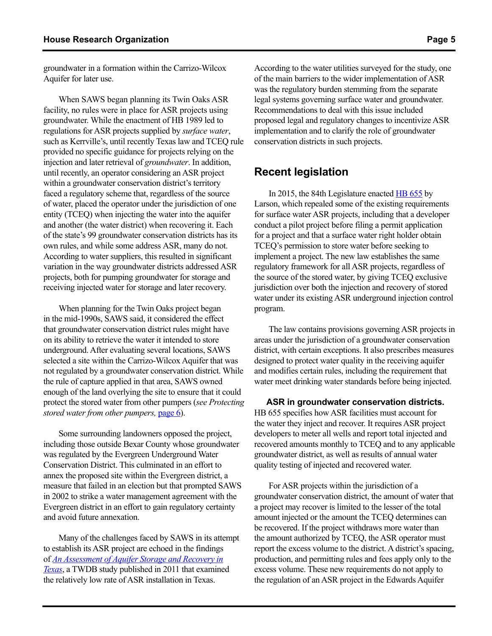groundwater in a formation within the Carrizo-Wilcox Aquifer for later use.

When SAWS began planning its Twin Oaks ASR facility, no rules were in place for ASR projects using groundwater. While the enactment of HB 1989 led to regulations for ASR projects supplied by *surface water*, such as Kerrville's, until recently Texas law and TCEQ rule provided no specific guidance for projects relying on the injection and later retrieval of *groundwater*. In addition, until recently, an operator considering an ASR project within a groundwater conservation district's territory faced a regulatory scheme that, regardless of the source of water, placed the operator under the jurisdiction of one entity (TCEQ) when injecting the water into the aquifer and another (the water district) when recovering it. Each of the state's 99 groundwater conservation districts has its own rules, and while some address ASR, many do not. According to water suppliers, this resulted in significant variation in the way groundwater districts addressed ASR projects, both for pumping groundwater for storage and receiving injected water for storage and later recovery.

When planning for the Twin Oaks project began in the mid-1990s, SAWS said, it considered the effect that groundwater conservation district rules might have on its ability to retrieve the water it intended to store underground. After evaluating several locations, SAWS selected a site within the Carrizo-Wilcox Aquifer that was not regulated by a groundwater conservation district. While the rule of capture applied in that area, SAWS owned enough of the land overlying the site to ensure that it could protect the stored water from other pumpers (*see Protecting stored water from other pumpers,* [page 6\)](#page-5-0).

Some surrounding landowners opposed the project, including those outside Bexar County whose groundwater was regulated by the Evergreen Underground Water Conservation District. This culminated in an effort to annex the proposed site within the Evergreen district, a measure that failed in an election but that prompted SAWS in 2002 to strike a water management agreement with the Evergreen district in an effort to gain regulatory certainty and avoid future annexation.

Many of the challenges faced by SAWS in its attempt to establish its ASR project are echoed in the findings of *[An Assessment of Aquifer Storage and Recovery in](http://www.twdb.texas.gov/publications/reports/contracted_reports/doc/0904830940_AquiferStorage.pdf) [Texas](http://www.twdb.texas.gov/publications/reports/contracted_reports/doc/0904830940_AquiferStorage.pdf)*, a TWDB study published in 2011 that examined the relatively low rate of ASR installation in Texas.

According to the water utilities surveyed for the study, one of the main barriers to the wider implementation of ASR was the regulatory burden stemming from the separate legal systems governing surface water and groundwater. Recommendations to deal with this issue included proposed legal and regulatory changes to incentivize ASR implementation and to clarify the role of groundwater conservation districts in such projects.

### <span id="page-4-0"></span>**Recent legislation**

In 2015, the 84th Legislature enacted [HB 655](http://www.capitol.state.tx.us/tlodocs/84R/billtext/pdf/HB00655F.pdf#navpanes=0) by Larson, which repealed some of the existing requirements for surface water ASR projects, including that a developer conduct a pilot project before filing a permit application for a project and that a surface water right holder obtain TCEQ's permission to store water before seeking to implement a project. The new law establishes the same regulatory framework for all ASR projects, regardless of the source of the stored water, by giving TCEQ exclusive jurisdiction over both the injection and recovery of stored water under its existing ASR underground injection control program.

The law contains provisions governing ASR projects in areas under the jurisdiction of a groundwater conservation district, with certain exceptions. It also prescribes measures designed to protect water quality in the receiving aquifer and modifies certain rules, including the requirement that water meet drinking water standards before being injected.

 **ASR in groundwater conservation districts.**  HB 655 specifies how ASR facilities must account for the water they inject and recover. It requires ASR project developers to meter all wells and report total injected and recovered amounts monthly to TCEQ and to any applicable groundwater district, as well as results of annual water quality testing of injected and recovered water.

For ASR projects within the jurisdiction of a groundwater conservation district, the amount of water that a project may recover is limited to the lesser of the total amount injected or the amount the TCEQ determines can be recovered. If the project withdraws more water than the amount authorized by TCEQ, the ASR operator must report the excess volume to the district. A district's spacing, production, and permitting rules and fees apply only to the excess volume. These new requirements do not apply to the regulation of an ASR project in the Edwards Aquifer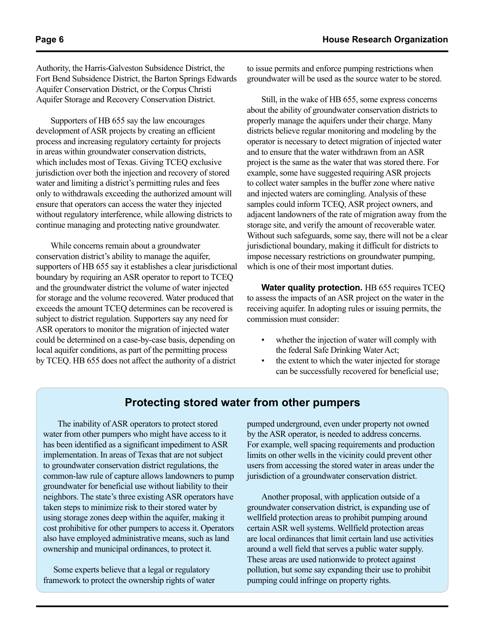Authority, the Harris-Galveston Subsidence District, the Fort Bend Subsidence District, the Barton Springs Edwards Aquifer Conservation District, or the Corpus Christi Aquifer Storage and Recovery Conservation District.

Supporters of HB 655 say the law encourages development of ASR projects by creating an efficient process and increasing regulatory certainty for projects in areas within groundwater conservation districts, which includes most of Texas. Giving TCEQ exclusive jurisdiction over both the injection and recovery of stored water and limiting a district's permitting rules and fees only to withdrawals exceeding the authorized amount will ensure that operators can access the water they injected without regulatory interference, while allowing districts to continue managing and protecting native groundwater.

While concerns remain about a groundwater conservation district's ability to manage the aquifer, supporters of HB 655 say it establishes a clear jurisdictional boundary by requiring an ASR operator to report to TCEQ and the groundwater district the volume of water injected for storage and the volume recovered. Water produced that exceeds the amount TCEQ determines can be recovered is subject to district regulation. Supporters say any need for ASR operators to monitor the migration of injected water could be determined on a case-by-case basis, depending on local aquifer conditions, as part of the permitting process by TCEQ. HB 655 does not affect the authority of a district

to issue permits and enforce pumping restrictions when groundwater will be used as the source water to be stored.

Still, in the wake of HB 655, some express concerns about the ability of groundwater conservation districts to properly manage the aquifers under their charge. Many districts believe regular monitoring and modeling by the operator is necessary to detect migration of injected water and to ensure that the water withdrawn from an ASR project is the same as the water that was stored there. For example, some have suggested requiring ASR projects to collect water samples in the buffer zone where native and injected waters are comingling. Analysis of these samples could inform TCEQ, ASR project owners, and adjacent landowners of the rate of migration away from the storage site, and verify the amount of recoverable water. Without such safeguards, some say, there will not be a clear jurisdictional boundary, making it difficult for districts to impose necessary restrictions on groundwater pumping, which is one of their most important duties.

<span id="page-5-1"></span>**Water quality protection.** HB 655 requires TCEQ to assess the impacts of an ASR project on the water in the receiving aquifer. In adopting rules or issuing permits, the commission must consider:

- whether the injection of water will comply with the federal Safe Drinking Water Act;
- the extent to which the water injected for storage can be successfully recovered for beneficial use;

### **Protecting stored water from other pumpers**

The inability of ASR operators to protect stored water from other pumpers who might have access to it has been identified as a significant impediment to ASR implementation. In areas of Texas that are not subject to groundwater conservation district regulations, the common-law rule of capture allows landowners to pump groundwater for beneficial use without liability to their neighbors. The state's three existing ASR operators have taken steps to minimize risk to their stored water by using storage zones deep within the aquifer, making it cost prohibitive for other pumpers to access it. Operators also have employed administrative means, such as land ownership and municipal ordinances, to protect it.

 Some experts believe that a legal or regulatory framework to protect the ownership rights of water

<span id="page-5-0"></span>pumped underground, even under property not owned by the ASR operator, is needed to address concerns. For example, well spacing requirements and production limits on other wells in the vicinity could prevent other users from accessing the stored water in areas under the jurisdiction of a groundwater conservation district.

Another proposal, with application outside of a groundwater conservation district, is expanding use of wellfield protection areas to prohibit pumping around certain ASR well systems. Wellfield protection areas are local ordinances that limit certain land use activities around a well field that serves a public water supply. These areas are used nationwide to protect against pollution, but some say expanding their use to prohibit pumping could infringe on property rights.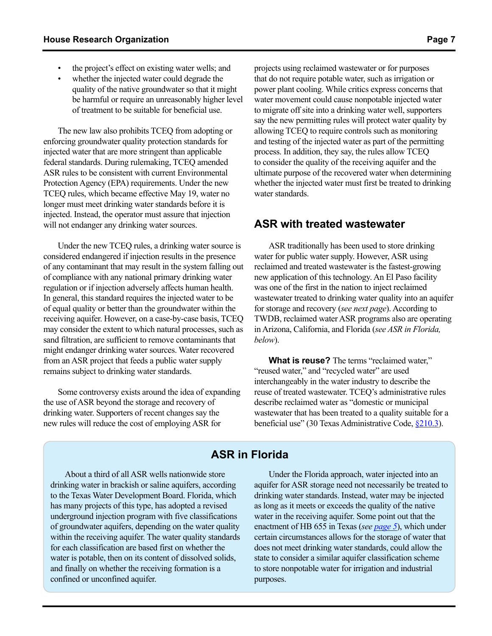- the project's effect on existing water wells; and
- whether the injected water could degrade the quality of the native groundwater so that it might be harmful or require an unreasonably higher level of treatment to be suitable for beneficial use.

The new law also prohibits TCEQ from adopting or enforcing groundwater quality protection standards for injected water that are more stringent than applicable federal standards. During rulemaking, TCEQ amended ASR rules to be consistent with current Environmental Protection Agency (EPA) requirements. Under the new TCEQ rules, which became effective May 19, water no longer must meet drinking water standards before it is injected. Instead, the operator must assure that injection will not endanger any drinking water sources.

Under the new TCEQ rules, a drinking water source is considered endangered if injection results in the presence of any contaminant that may result in the system falling out of compliance with any national primary drinking water regulation or if injection adversely affects human health. In general, this standard requires the injected water to be of equal quality or better than the groundwater within the receiving aquifer. However, on a case-by-case basis, TCEQ may consider the extent to which natural processes, such as sand filtration, are sufficient to remove contaminants that might endanger drinking water sources. Water recovered from an ASR project that feeds a public water supply remains subject to drinking water standards.

Some controversy exists around the idea of expanding the use of ASR beyond the storage and recovery of drinking water. Supporters of recent changes say the new rules will reduce the cost of employing ASR for

projects using reclaimed wastewater or for purposes that do not require potable water, such as irrigation or power plant cooling. While critics express concerns that water movement could cause nonpotable injected water to migrate off site into a drinking water well, supporters say the new permitting rules will protect water quality by allowing TCEQ to require controls such as monitoring and testing of the injected water as part of the permitting process. In addition, they say, the rules allow TCEQ to consider the quality of the receiving aquifer and the ultimate purpose of the recovered water when determining whether the injected water must first be treated to drinking water standards.

#### <span id="page-6-1"></span>**ASR with treated wastewater**

ASR traditionally has been used to store drinking water for public water supply. However, ASR using reclaimed and treated wastewater is the fastest-growing new application of this technology. An El Paso facility was one of the first in the nation to inject reclaimed wastewater treated to drinking water quality into an aquifer for storage and recovery (*see next page*). According to TWDB, reclaimed water ASR programs also are operating in Arizona, California, and Florida (*see ASR in Florida, below*).

**What is reuse?** The terms "reclaimed water," "reused water," and "recycled water" are used interchangeably in the water industry to describe the reuse of treated wastewater. TCEQ's administrative rules describe reclaimed water as "domestic or municipal wastewater that has been treated to a quality suitable for a beneficial use" (30 Texas Administrative Code, [§210.3\)](http://texreg.sos.state.tx.us/public/readtac$ext.TacPage?sl=R&app=9&p_dir=&p_rloc=&p_tloc=&p_ploc=&pg=1&p_tac=&ti=30&pt=1&ch=210&rl=3).

# **ASR in Florida**

About a third of all ASR wells nationwide store drinking water in brackish or saline aquifers, according to the Texas Water Development Board. Florida, which has many projects of this type, has adopted a revised underground injection program with five classifications of groundwater aquifers, depending on the water quality within the receiving aquifer. The water quality standards for each classification are based first on whether the water is potable, then on its content of dissolved solids, and finally on whether the receiving formation is a confined or unconfined aquifer.

<span id="page-6-0"></span>Under the Florida approach, water injected into an aquifer for ASR storage need not necessarily be treated to drinking water standards. Instead, water may be injected as long as it meets or exceeds the quality of the native water in the receiving aquifer. Some point out that the enactment of HB 655 in Texas (*see [page 5](#page-4-0)*), which under certain circumstances allows for the storage of water that does not meet drinking water standards, could allow the state to consider a similar aquifer classification scheme to store nonpotable water for irrigation and industrial purposes.